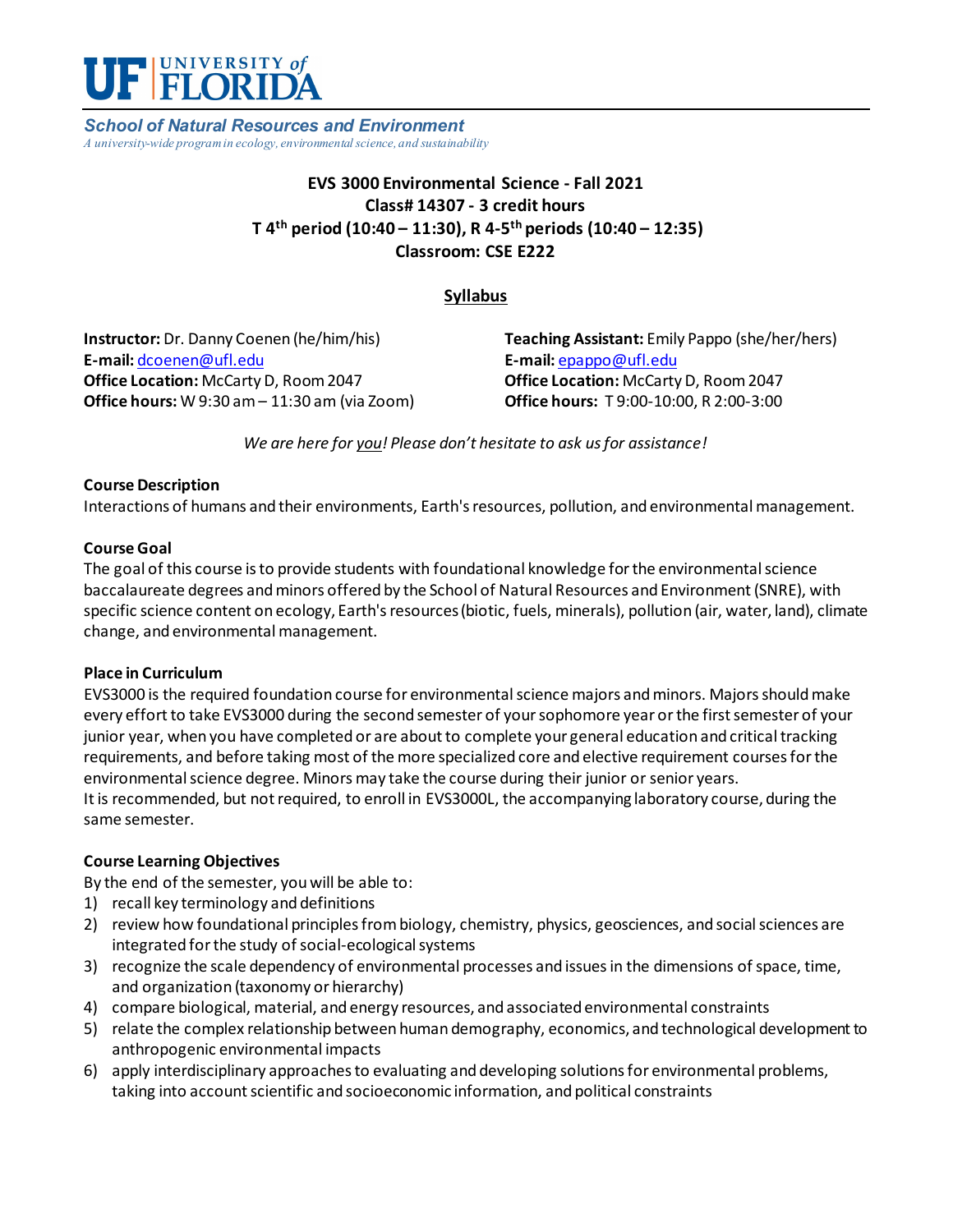

*School of Natural Resources and Environment A university-wide program in ecology, environmental science, and sustainability*

## **EVS 3000 Environmental Science - Fall 2021 Class# 14307 - 3 credit hours T 4th period (10:40 – 11:30), R 4-5th periods (10:40 – 12:35) Classroom: CSE E222**

### **Syllabus**

**Instructor:** Dr. Danny Coenen (he/him/his) **E-mail:** [dcoenen@ufl.edu](mailto:dcoenen@ufl.edu) **Office Location:** McCarty D, Room 2047 **Office hours:** W 9:30 am – 11:30 am (via Zoom) **Teaching Assistant:** Emily Pappo (she/her/hers) **E-mail:** [epappo@ufl.edu](mailto:epappo@ufl.edu) **Office Location:** McCarty D, Room 2047 **Office hours:** T 9:00-10:00, R 2:00-3:00

*We are here for you! Please don't hesitate to ask us for assistance!*

#### **Course Description**

Interactions of humans and their environments, Earth's resources, pollution, and environmental management.

#### **Course Goal**

The goal of this course is to provide students with foundational knowledge for the environmental science baccalaureate degrees and minors offered by the School of Natural Resources and Environment (SNRE), with specific science content on ecology, Earth's resources (biotic, fuels, minerals), pollution (air, water, land), climate change, and environmental management.

#### **Place in Curriculum**

EVS3000 is the required foundation course for environmental science majors and minors. Majors should make every effort to take EVS3000 during the second semester of your sophomore year or the first semester of your junior year, when you have completed or are about to complete your general education and critical tracking requirements, and before taking most of the more specialized core and elective requirement courses for the environmental science degree. Minors may take the course during their junior or senior years. It is recommended, but not required, to enroll in EVS3000L, the accompanying laboratory course, during the same semester.

### **Course Learning Objectives**

By the end of the semester, youwill be able to:

- 1) recall key terminology and definitions
- 2) review how foundational principles from biology, chemistry, physics, geosciences, and social sciences are integrated for the study of social-ecological systems
- 3) recognize the scale dependency of environmental processes and issuesin the dimensions of space, time, and organization (taxonomy or hierarchy)
- 4) compare biological, material, and energy resources, and associated environmental constraints
- 5) relate the complex relationship between human demography, economics, and technological development to anthropogenic environmental impacts
- 6) apply interdisciplinary approaches to evaluating and developing solutions for environmental problems, taking into account scientific and socioeconomic information, and political constraints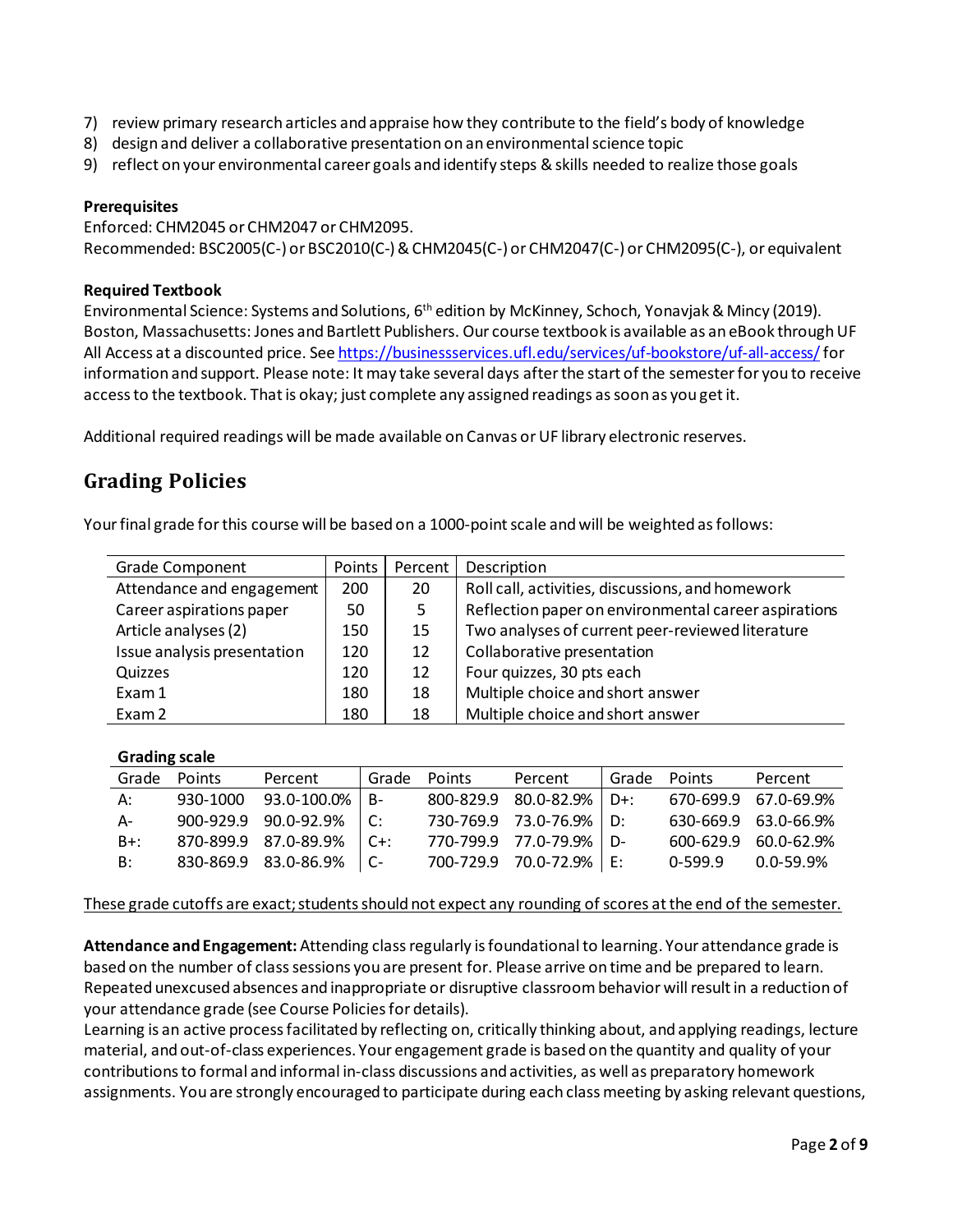- 7) review primary research articles and appraise how they contribute to the field's body of knowledge
- 8) design and deliver a collaborative presentation on an environmental science topic
- 9) reflect on your environmental career goals and identify steps & skills needed to realize those goals

#### **Prerequisites**

Enforced: CHM2045 or CHM2047 or CHM2095. Recommended: BSC2005(C-) or BSC2010(C-) & CHM2045(C-) or CHM2047(C-) or CHM2095(C-), or equivalent

#### **Required Textbook**

Environmental Science: Systems and Solutions, 6th edition by McKinney, Schoch, Yonavjak& Mincy (2019). Boston, Massachusetts: Jones and Bartlett Publishers. Our course textbook is available as an eBook through UF All Access at a discounted price. Se[e https://businessservices.ufl.edu/services/uf-bookstore/uf-all-access/](https://businessservices.ufl.edu/services/uf-bookstore/uf-all-access/)for information and support. Please note: It may take several days after the start of the semester for you to receive access to the textbook. That is okay; just complete any assigned readings as soon as you get it.

Additional required readings will be made available on Canvas or UF library electronic reserves.

## **Grading Policies**

Your final grade for this course will be based on a 1000-point scale and will be weighted as follows:

| <b>Grade Component</b>      | Points | Percent | Description                                          |
|-----------------------------|--------|---------|------------------------------------------------------|
| Attendance and engagement   | 200    | 20      | Roll call, activities, discussions, and homework     |
| Career aspirations paper    | 50     | 5.      | Reflection paper on environmental career aspirations |
| Article analyses (2)        | 150    | 15      | Two analyses of current peer-reviewed literature     |
| Issue analysis presentation | 120    | 12      | Collaborative presentation                           |
| Quizzes                     | 120    | 12      | Four quizzes, 30 pts each                            |
| Exam 1                      | 180    | 18      | Multiple choice and short answer                     |
| Exam 2                      | 180    | 18      | Multiple choice and short answer                     |

#### **Grading scale**

| Grade  | Points   | Percent              | Grade   | Points | Percent              | Grade | Points    | Percent                    |
|--------|----------|----------------------|---------|--------|----------------------|-------|-----------|----------------------------|
| А:     | 930-1000 | 93.0-100.0%          | $R-$    |        | 800-829.9 80.0-82.9% | D+:   |           | 670-699.9 67.0-69.9%       |
| A-     |          | 900-929.9 90.0-92.9% | ∣r∙     |        | 730-769.9 73.0-76.9% | ∙ח    |           | 630-669.9 63.0-66.9%       |
| $B+$ : |          | 870-899.9 87.0-89.9% | $C + 1$ |        | 770-799.9 77.0-79.9% | - N-  |           | $600 - 629.9 60.0 - 62.9%$ |
| B:     |          | 830-869.9 83.0-86.9% |         |        | 700-729.9 70.0-72.9% | F.    | $0-599.9$ | 0.0-59.9%                  |

These grade cutoffs are exact; students should not expect any rounding of scores at the end of the semester.

**Attendance and Engagement:** Attending class regularly is foundational to learning. Your attendance grade is based on the number of class sessions you are present for. Please arrive on time and be prepared to learn. Repeated unexcused absences and inappropriate or disruptive classroom behavior willresult in a reduction of your attendance grade (see Course Policies for details).

Learning is an active process facilitated by reflecting on, critically thinking about, and applying readings, lecture material, and out-of-class experiences. Your engagement grade is based on the quantity and quality of your contributions to formal and informal in-class discussions and activities, as well as preparatory homework assignments. You are strongly encouraged to participate during each class meeting by asking relevant questions,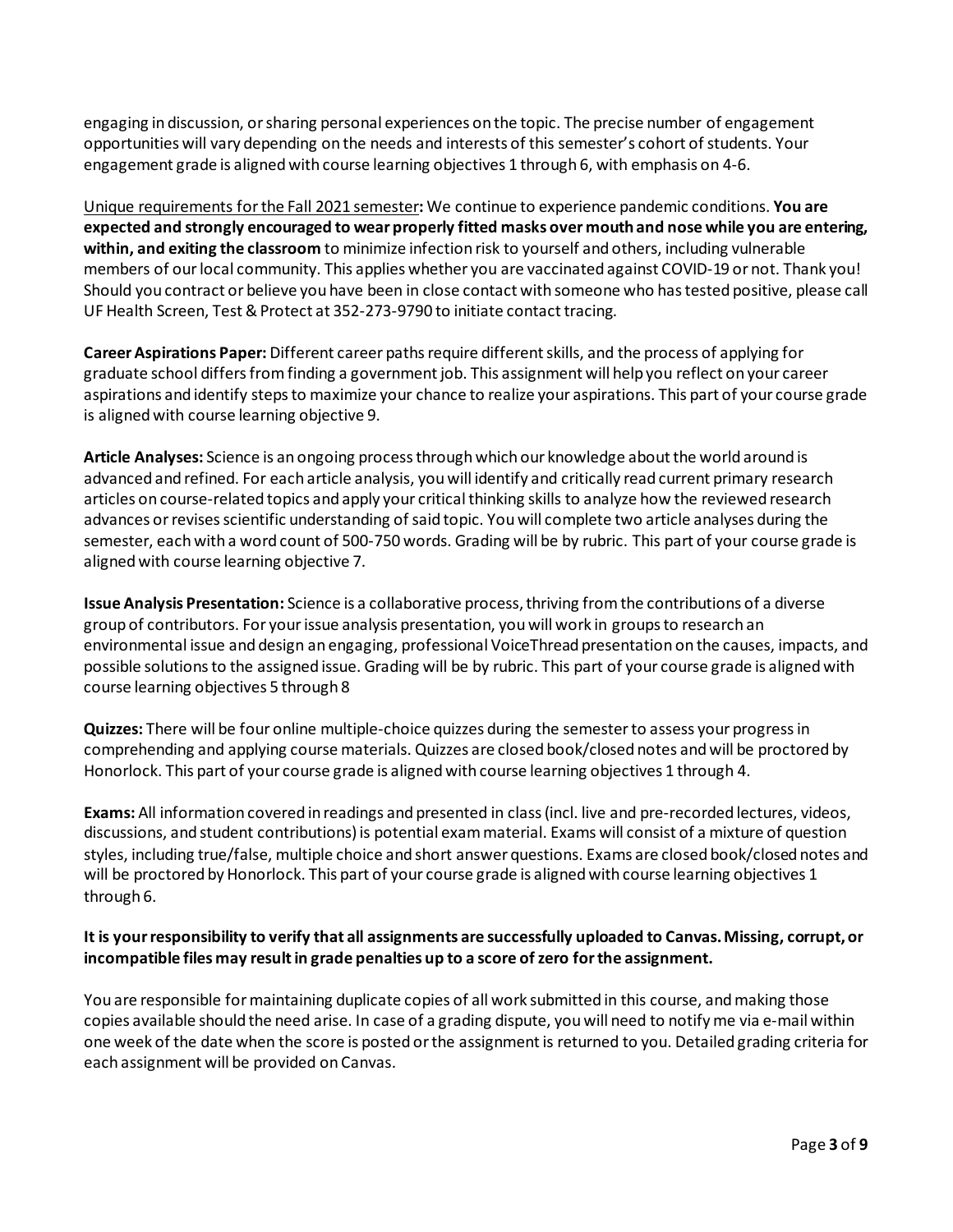engaging in discussion, or sharing personal experiences on the topic. The precise number of engagement opportunities will vary depending on the needs and interests of this semester's cohort of students. Your engagement grade is aligned with course learning objectives 1 through 6, with emphasis on 4-6.

Unique requirements for the Fall 2021 semester**:** We continue to experience pandemic conditions. **You are expected and strongly encouraged to wear properly fitted masks over mouth and nose while you are entering, within, and exiting the classroom** to minimize infection risk to yourself and others, including vulnerable members of our local community. This applies whether you are vaccinated against COVID-19 or not. Thank you! Should you contract or believe you have been in close contact with someone who has tested positive, please call UF Health Screen, Test & Protect at 352-273-9790 to initiate contact tracing.

**Career Aspirations Paper:** Different career paths require different skills, and the process of applying for graduate school differs from finding a government job. This assignment will help you reflect on your career aspirations and identify steps to maximize your chance to realize your aspirations. This part of your course grade is aligned with course learning objective 9.

**Article Analyses:** Science is an ongoing processthrough which our knowledge about the world around is advanced and refined. For each article analysis, you will identify and critically read current primary research articles on course-related topics and apply your critical thinking skills to analyze how the reviewed research advances or revises scientific understanding of said topic. You will complete two article analyses during the semester, each with a word count of 500-750 words. Grading will be by rubric. This part of your course grade is aligned with course learning objective 7.

**Issue Analysis Presentation:** Science is a collaborative process, thriving from the contributions of a diverse group of contributors. For your issue analysis presentation, you will work in groups to research an environmental issue and design an engaging, professional VoiceThread presentation on the causes, impacts, and possible solutions to the assigned issue. Grading will be by rubric. This part of your course grade is aligned with course learning objectives 5 through 8

**Quizzes:** There will be four online multiple-choice quizzes during the semesterto assess your progress in comprehending and applying course materials. Quizzes are closed book/closed notes and will be proctored by Honorlock. This part of your course grade is aligned with course learning objectives 1 through 4.

**Exams:** All information covered in readings and presented in class(incl. live and pre-recorded lectures, videos, discussions, and student contributions)is potential exam material. Exams will consist of a mixture of question styles, including true/false, multiple choice and short answer questions. Exams are closed book/closed notes and will be proctored by Honorlock. This part of your course grade is aligned with course learning objectives 1 through 6.

### **It is your responsibility to verify that all assignments are successfully uploaded to Canvas. Missing, corrupt, or incompatible files may result in grade penalties up to a score of zero for the assignment.**

You are responsible for maintaining duplicate copies of all work submitted in this course, and making those copies available should the need arise. In case of a grading dispute, you will need to notify me via e-mail within one week of the date when the score is posted or the assignment is returned to you. Detailed grading criteria for each assignment will be provided on Canvas.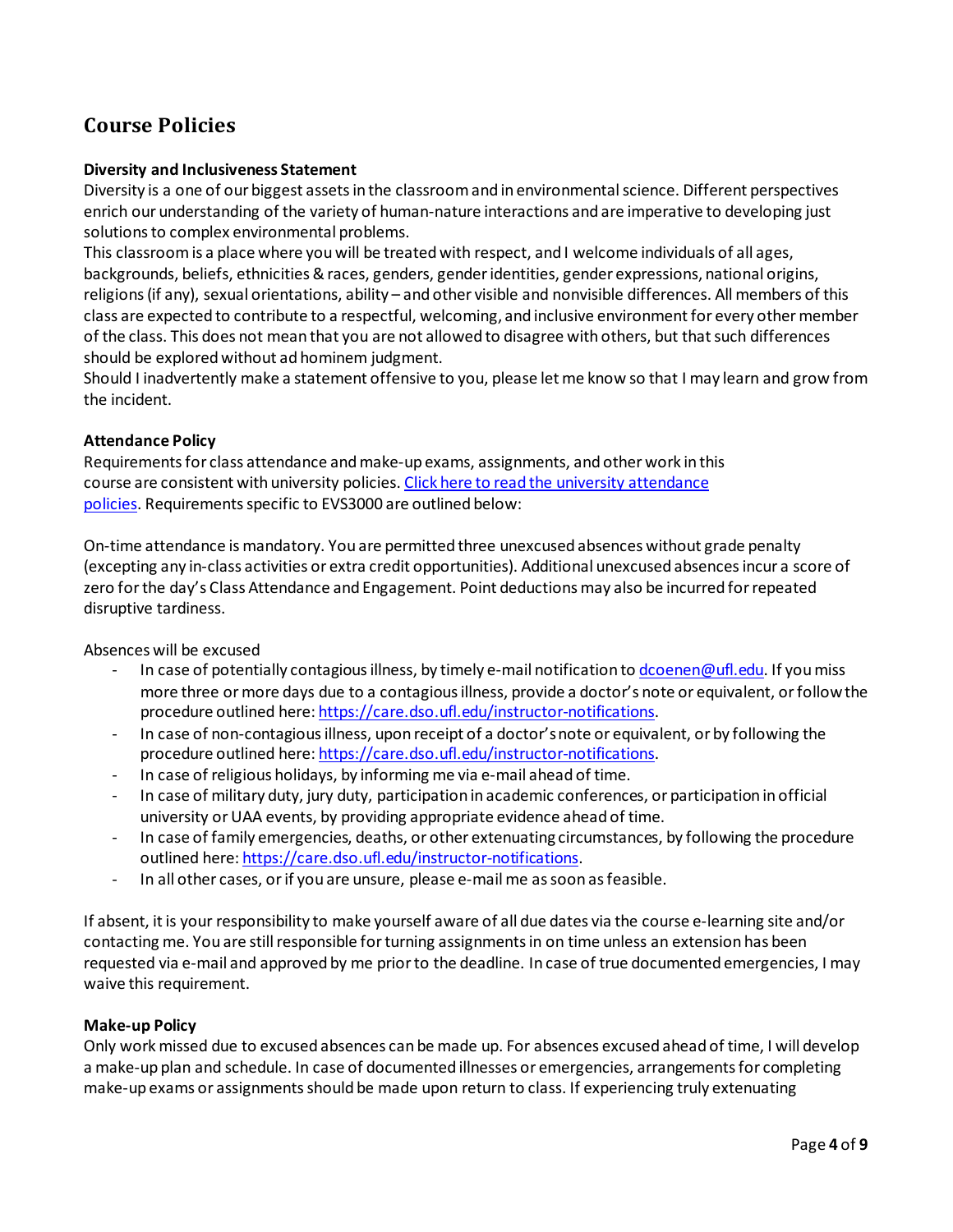# **Course Policies**

#### **Diversity and Inclusiveness Statement**

Diversity is a one of our biggest assets in the classroom and in environmental science. Different perspectives enrich our understanding of the variety of human-nature interactions and are imperative to developing just solutions to complex environmental problems.

This classroom is a place where you will be treated with respect, and I welcome individuals of all ages, backgrounds, beliefs, ethnicities & races, genders, gender identities, gender expressions, national origins, religions (if any), sexual orientations, ability – and other visible and nonvisible differences. All members of this class are expected to contribute to a respectful, welcoming, and inclusive environment for every other member of the class. This does not mean that you are not allowed to disagree with others, but that such differences should be explored without ad hominem judgment.

Should I inadvertently make a statement offensive to you, please let me know so that I may learn and grow from the incident.

#### **Attendance Policy**

Requirements for class attendance and make-up exams, assignments, and other work in this course are consistent with university policies[. Click here to read the university attendance](https://catalog.ufl.edu/UGRD/academic-regulations/attendance-policies/)  [policies.](https://catalog.ufl.edu/UGRD/academic-regulations/attendance-policies/) Requirements specific to EVS3000 are outlined below:

On-time attendance is mandatory. You are permitted three unexcused absences without grade penalty (excepting any in-class activities or extra credit opportunities). Additional unexcused absences incur a score of zero for the day's Class Attendance and Engagement. Point deductions may also be incurred for repeated disruptive tardiness.

Absences will be excused

- In case of potentially contagious illness, by timely e-mail notification t[o dcoenen@ufl.edu.](mailto:dcoenen@ufl.edu) If you miss more three or more days due to a contagious illness, provide a doctor's note or equivalent, or follow the procedure outlined here[: https://care.dso.ufl.edu/instructor-notifications.](https://care.dso.ufl.edu/instructor-notifications)
- In case of non-contagious illness, upon receipt of a doctor's note or equivalent, or by following the procedure outlined here[: https://care.dso.ufl.edu/instructor-notifications.](https://care.dso.ufl.edu/instructor-notifications)
- In case of religious holidays, by informing me via e-mail ahead of time.
- In case of military duty, jury duty, participation in academic conferences, or participation in official university or UAA events, by providing appropriate evidence ahead of time.
- In case of family emergencies, deaths, or other extenuating circumstances, by following the procedure outlined here: [https://care.dso.ufl.edu/instructor-notifications.](https://care.dso.ufl.edu/instructor-notifications)
- In all other cases, or if you are unsure, please e-mail me as soon as feasible.

If absent, it is your responsibility to make yourself aware of all due dates via the course e-learning site and/or contacting me. You are still responsible for turning assignments in on time unless an extension has been requested via e-mail and approved by me prior to the deadline. In case of true documented emergencies, I may waive this requirement.

#### **Make-up Policy**

Only work missed due to excused absences can be made up. For absences excused ahead of time, I will develop a make-up plan and schedule. In case of documented illnesses or emergencies, arrangements for completing make-up exams or assignments should be made upon return to class. If experiencing truly extenuating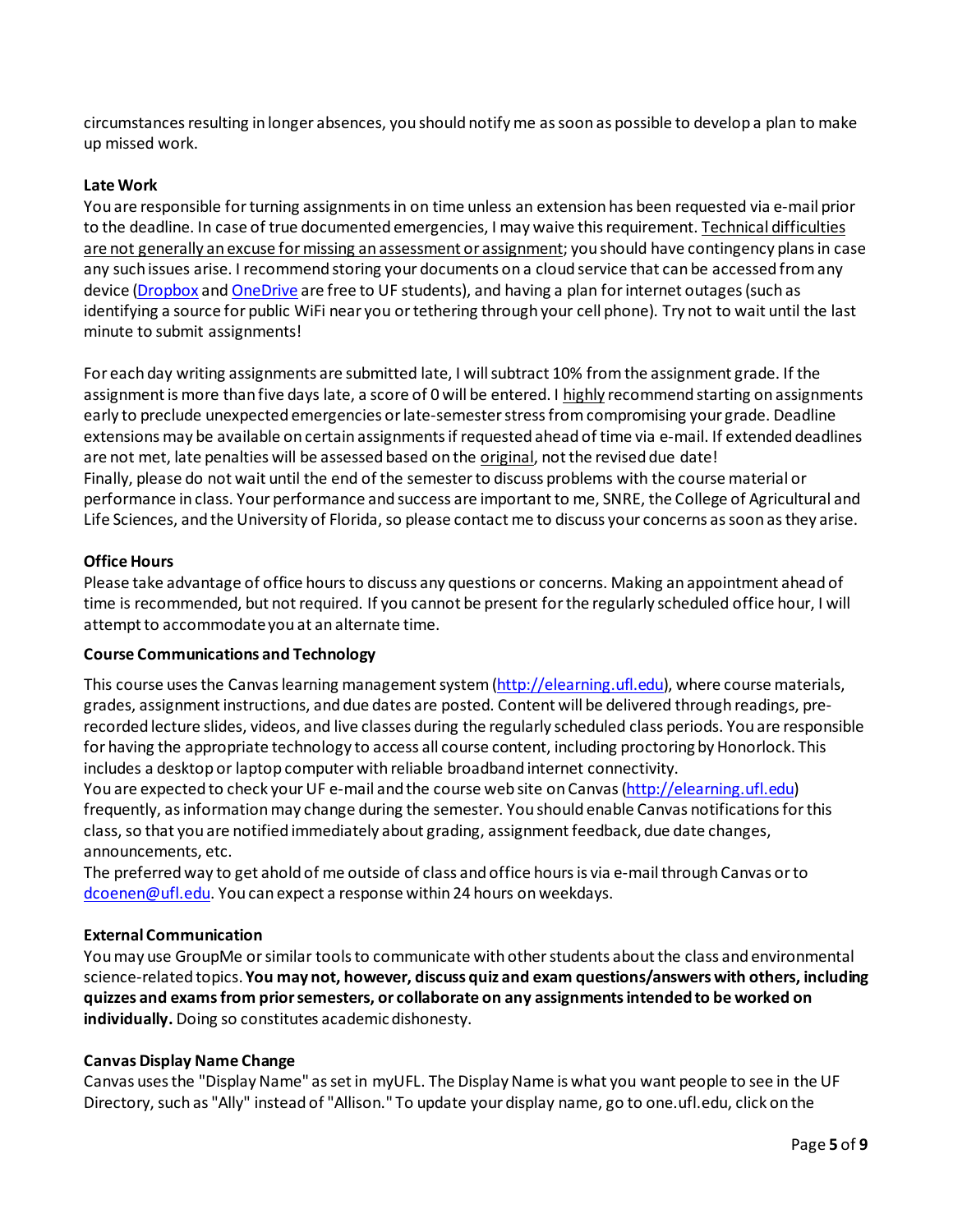circumstances resulting in longer absences, you should notify me as soon as possible to develop a plan to make up missed work.

#### **Late Work**

You are responsible for turning assignments in on time unless an extension has been requested via e-mail prior to the deadline. In case of true documented emergencies, I may waive this requirement. Technical difficulties are not generally an excuse for missing an assessment or assignment; you should have contingency plans in case any such issues arise. I recommend storing your documents on a cloud service that can be accessed from any device [\(Dropbox](https://cloud.it.ufl.edu/collaboration-tools/dropbox/) and [OneDrive](https://cloud.it.ufl.edu/collaboration-tools/office-365/) are free to UF students), and having a plan for internet outages (such as identifying a source for public WiFi near you or tethering through your cell phone). Try not to wait until the last minute to submit assignments!

For each day writing assignments are submitted late, I will subtract 10% from the assignment grade. If the assignment is more than five days late, a score of 0 will be entered. I highly recommend starting on assignments early to preclude unexpected emergencies or late-semester stress from compromising your grade. Deadline extensions may be available on certain assignments if requested ahead of time via e-mail. If extended deadlines are not met, late penalties will be assessed based on the original, not the revised due date! Finally, please do not wait until the end of the semester to discuss problems with the course material or performance in class. Your performance and success are important to me, SNRE, the College of Agricultural and Life Sciences, and the University of Florida, so please contact me to discuss your concerns as soon as they arise.

#### **Office Hours**

Please take advantage of office hours to discuss any questions or concerns. Making an appointment ahead of time is recommended, but not required. If you cannot be present for the regularly scheduled office hour, I will attempt to accommodate you at an alternate time.

#### **Course Communications and Technology**

This course uses the Canvas learning management system [\(http://elearning.ufl.edu\)](http://elearning.ufl.edu/), where course materials, grades, assignment instructions, and due dates are posted. Content will be delivered through readings, prerecorded lecture slides, videos, and live classes during the regularly scheduled class periods. You are responsible for having the appropriate technology to access all course content, including proctoring by Honorlock. This includes a desktop or laptop computer with reliable broadband internet connectivity.

You are expected to check your UF e-mail and the course web site on Canvas [\(http://elearning.ufl.edu\)](http://elearning.ufl.edu/) frequently, as information may change during the semester. You should enable Canvas notifications for this class, so that you are notified immediately about grading, assignment feedback, due date changes, announcements, etc.

The preferred way to get ahold of me outside of class and office hours is via e-mail through Canvas or to [dcoenen@ufl.edu.](mailto:dcoenen@ufl.edu) You can expect a response within 24 hours on weekdays.

#### **External Communication**

You may use GroupMe or similar tools to communicate with other students about the class and environmental science-related topics. **You may not, however, discuss quiz and exam questions/answers with others, including quizzes and exams from prior semesters, or collaborate on any assignments intended to be worked on individually.** Doing so constitutes academic dishonesty.

#### **Canvas Display Name Change**

Canvas uses the "Display Name" as set in myUFL. The Display Name is what you want people to see in the UF Directory, such as "Ally" instead of "Allison." To update your display name, go to one.ufl.edu, click on the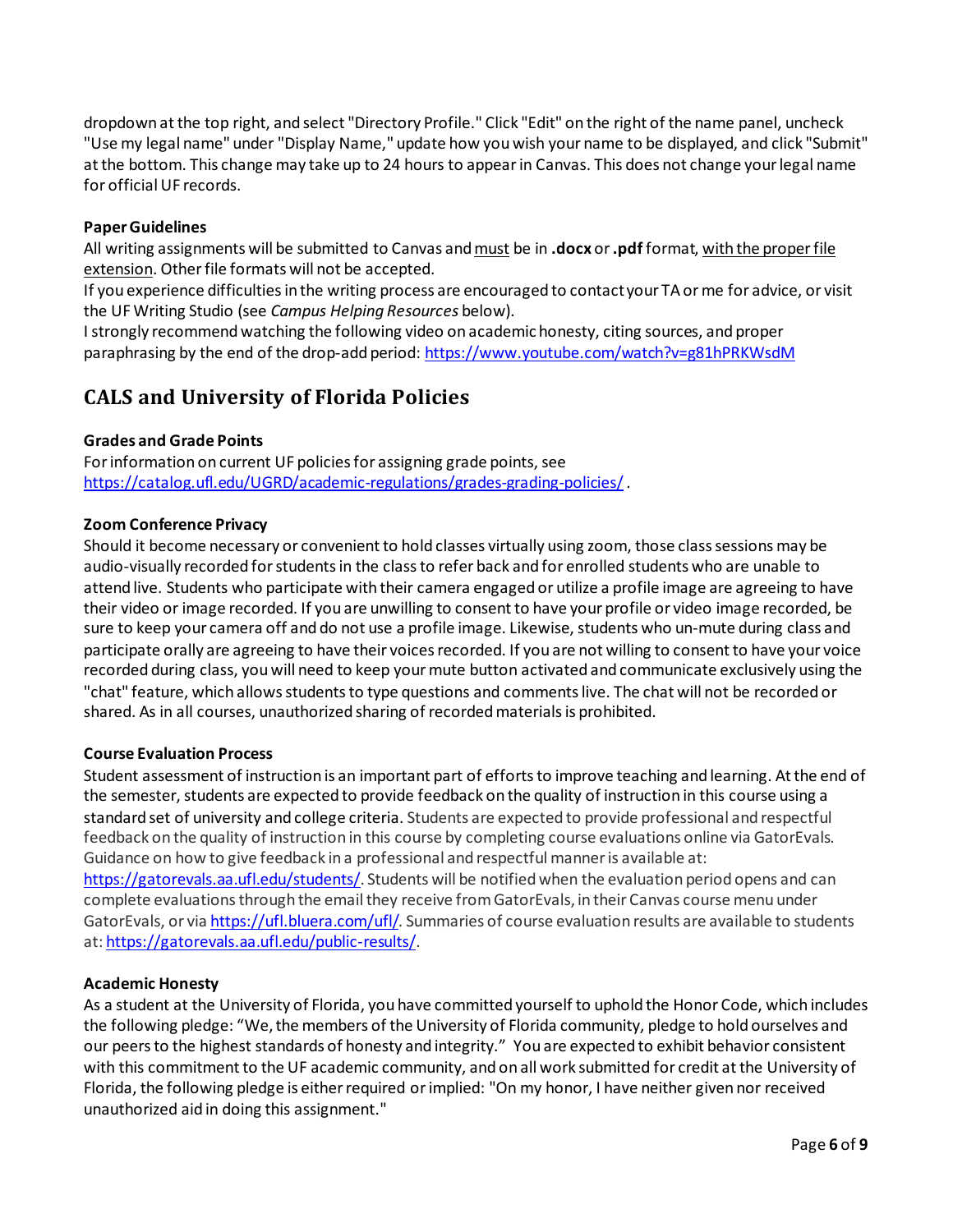dropdown at the top right, and select "Directory Profile." Click "Edit" on the right of the name panel, uncheck "Use my legal name" under "Display Name," update how you wish your name to be displayed, and click "Submit" at the bottom. This change may take up to 24 hours to appear in Canvas. This does not change your legal name for official UF records.

#### **Paper Guidelines**

All writing assignments will be submitted to Canvas and must be in **.docx** or **.pdf** format, with the proper file extension. Other file formats will not be accepted.

If you experience difficulties in the writing process are encouraged to contact your TA or me for advice, or visit the UF Writing Studio (see *Campus Helping Resources* below).

I strongly recommend watching the following video on academic honesty, citing sources, and proper paraphrasing by the end of the drop-add period:<https://www.youtube.com/watch?v=g81hPRKWsdM>

# **CALS and University of Florida Policies**

#### **Grades and Grade Points**

For information on current UF policies for assigning grade points, see <https://catalog.ufl.edu/UGRD/academic-regulations/grades-grading-policies/>.

#### **Zoom Conference Privacy**

Should it become necessary or convenient to hold classes virtually using zoom, those class sessions may be audio-visually recorded for students in the class to refer back and for enrolled students who are unable to attend live. Students who participate with their camera engaged or utilize a profile image are agreeing to have their video or image recorded. If you are unwilling to consent to have your profile or video image recorded, be sure to keep your camera off and do not use a profile image. Likewise, students who un-mute during class and participate orally are agreeing to have their voices recorded. If you are not willing to consent to have your voice recorded during class, you will need to keep your mute button activated and communicate exclusively using the "chat" feature, which allows students to type questions and comments live. The chat will not be recorded or shared. As in all courses, unauthorized sharing of recorded materials is prohibited.

#### **Course Evaluation Process**

Student assessment of instruction is an important part of efforts to improve teaching and learning. At the end of the semester, students are expected to provide feedback on the quality of instruction in this course using a standard set of university and college criteria. Students are expected to provide professional and respectful feedback on the quality of instruction in this course by completing course evaluations online via GatorEvals. Guidance on how to give feedback in a professional and respectful manner is available at:

[https://gatorevals.aa.ufl.edu/students/.](https://gatorevals.aa.ufl.edu/students/) Students will be notified when the evaluation period opens and can complete evaluations through the email they receive from GatorEvals, in their Canvas course menu under GatorEvals, or vi[a https://ufl.bluera.com/ufl/.](https://ufl.bluera.com/ufl/) Summaries of course evaluation results are available to students at[: https://gatorevals.aa.ufl.edu/public-results/.](https://gatorevals.aa.ufl.edu/public-results/)

#### **Academic Honesty**

As a student at the University of Florida, you have committed yourself to uphold the Honor Code, which includes the following pledge: "We, the members of the University of Florida community, pledge to hold ourselves and our peers to the highest standards of honesty and integrity." You are expected to exhibit behavior consistent with this commitment to the UF academic community, and on all work submitted for credit at the University of Florida, the following pledge is either required or implied: "On my honor, I have neither given nor received unauthorized aid in doing this assignment."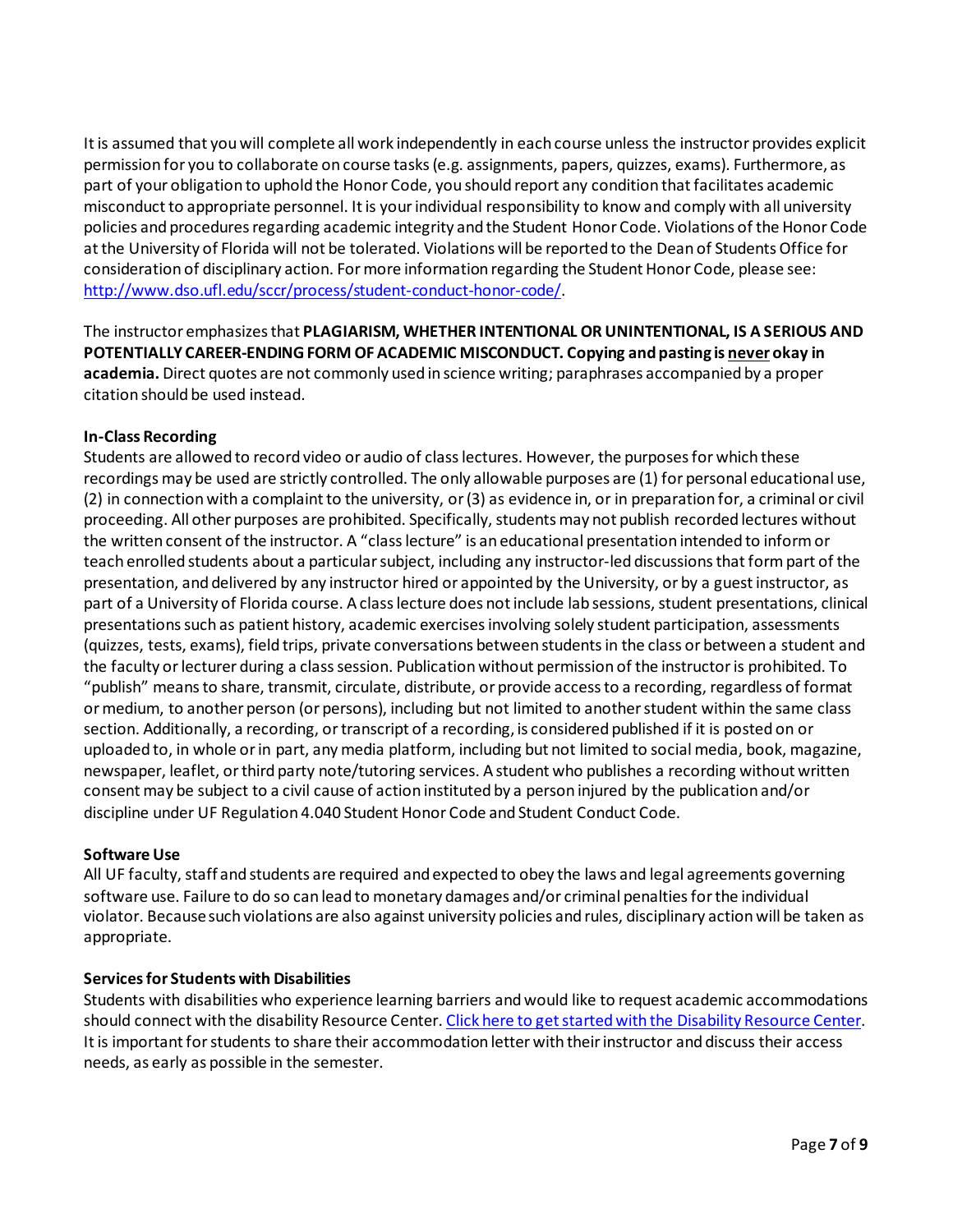It is assumed that you will complete all work independently in each course unless the instructor provides explicit permission for you to collaborate on course tasks (e.g. assignments, papers, quizzes, exams). Furthermore, as part of your obligation to uphold the Honor Code, you should report any condition that facilitates academic misconduct to appropriate personnel. It is your individual responsibility to know and comply with all university policies and procedures regarding academic integrity and the Student Honor Code. Violations of the Honor Code at the University of Florida will not be tolerated. Violations will be reported to the Dean of Students Office for consideration of disciplinary action. For more information regarding the Student Honor Code, please see: [http://www.dso.ufl.edu/sccr/process/student-conduct-honor-code/.](http://www.dso.ufl.edu/sccr/process/student-conduct-honor-code/)

The instructor emphasizes that **PLAGIARISM, WHETHER INTENTIONAL OR UNINTENTIONAL, IS A SERIOUS AND POTENTIALLY CAREER-ENDING FORM OF ACADEMIC MISCONDUCT. Copying and pasting is never okay in academia.** Direct quotes are not commonly used in science writing; paraphrases accompanied by a proper citation should be used instead.

#### **In-Class Recording**

Students are allowed to record video or audio of class lectures. However, the purposes for which these recordings may be used are strictly controlled. The only allowable purposes are (1) for personal educational use, (2) in connection with a complaint to the university, or (3) as evidence in, or in preparation for, a criminal or civil proceeding. All other purposes are prohibited. Specifically, students may not publish recorded lectures without the written consent of the instructor. A "class lecture" is an educational presentation intended to inform or teach enrolled students about a particular subject, including any instructor-led discussions that form part of the presentation, and delivered by any instructor hired or appointed by the University, or by a guest instructor, as part of a University of Florida course. A class lecture does not include lab sessions, student presentations, clinical presentations such as patient history, academic exercises involving solely student participation, assessments (quizzes, tests, exams), field trips, private conversations between students in the class or between a student and the faculty or lecturer during a class session. Publication without permission of the instructor is prohibited. To "publish" means to share, transmit, circulate, distribute, or provide access to a recording, regardless of format or medium, to another person (or persons), including but not limited to another student within the same class section. Additionally, a recording, or transcript of a recording, is considered published if it is posted on or uploaded to, in whole or in part, any media platform, including but not limited to social media, book, magazine, newspaper, leaflet, or third party note/tutoring services. A student who publishes a recording without written consent may be subject to a civil cause of action instituted by a person injured by the publication and/or discipline under UF Regulation 4.040 Student Honor Code and Student Conduct Code.

#### **Software Use**

All UF faculty, staff and students are required and expected to obey the laws and legal agreements governing software use. Failure to do so can lead to monetary damages and/or criminal penalties for the individual violator. Because such violations are also against university policies and rules, disciplinary action will be taken as appropriate.

#### **Services for Students with Disabilities**

Students with disabilities who experience learning barriers and would like to request academic accommodations should connect with the disability Resource Center[. Click here to get started with the Disability Resource Center.](https://disability.ufl.edu/students/get-started/) It is important for students to share their accommodation letter with their instructor and discuss their access needs, as early as possible in the semester.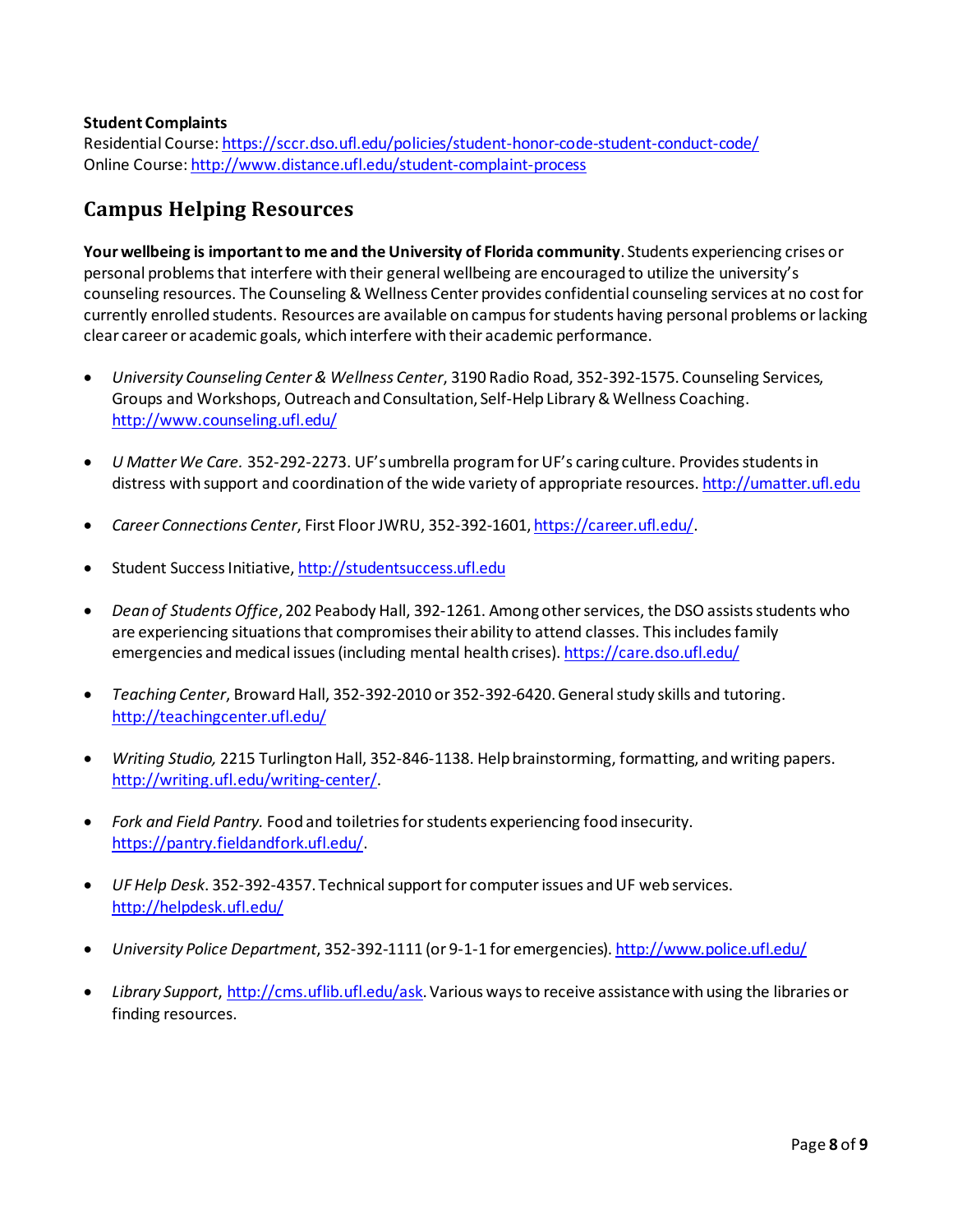#### **Student Complaints**

Residential Course[: https://sccr.dso.ufl.edu/policies/student-honor-code-student-conduct-code/](https://sccr.dso.ufl.edu/policies/student-honor-code-student-conduct-code/) Online Course[: http://www.distance.ufl.edu/student-complaint-process](http://www.distance.ufl.edu/student-complaint-process)

## **Campus Helping Resources**

**Your wellbeing is important to me and the University of Florida community**. Students experiencing crises or personal problems that interfere with their general wellbeing are encouraged to utilize the university's counseling resources. The Counseling & Wellness Center provides confidential counseling services at no cost for currently enrolled students. Resources are available on campus for students having personal problems or lacking clear career or academic goals, which interfere with their academic performance.

- *University Counseling Center & Wellness Center*, 3190 Radio Road, 352-392-1575. Counseling Services, Groups and Workshops, Outreach and Consultation, Self-Help Library & Wellness Coaching. <http://www.counseling.ufl.edu/>
- *U Matter We Care.* 352*-*292-2273. UF's umbrella program for UF's caring culture. Provides students in distress with support and coordination of the wide variety of appropriate resources[. http://umatter.ufl.edu](http://umatter.ufl.edu/)
- *Career Connections Center*, First Floor JWRU, 352-392-1601, [https://career.ufl.edu/.](https://career.ufl.edu/)
- Student Success Initiative[, http://studentsuccess.ufl.edu](http://studentsuccess.ufl.edu/)
- *Dean of Students Office*, 202 Peabody Hall, 392-1261. Among other services, the DSO assists students who are experiencing situations that compromises their ability to attend classes. This includes family emergencies and medical issues (including mental health crises)[. https://care.dso.ufl.edu/](https://care.dso.ufl.edu/)
- *Teaching Center*, Broward Hall, 352-392-2010 or 352-392-6420. General study skills and tutoring. <http://teachingcenter.ufl.edu/>
- *Writing Studio,* 2215 Turlington Hall, 352*-*846-1138. Help brainstorming, formatting, and writing papers. <http://writing.ufl.edu/writing-center/>.
- *Fork and Field Pantry.* Food and toiletries for students experiencing food insecurity. [https://pantry.fieldandfork.ufl.edu/.](https://pantry.fieldandfork.ufl.edu/)
- *UF Help Desk*. 352-392-4357. Technical support for computer issues and UF web services. <http://helpdesk.ufl.edu/>
- *University Police Department*, 352-392-1111 (or 9-1-1 for emergencies)[. http://www.police.ufl.edu/](http://www.police.ufl.edu/)
- *Library Support*[, http://cms.uflib.ufl.edu/ask.](http://cms.uflib.ufl.edu/ask) Various ways to receive assistance with using the libraries or finding resources.